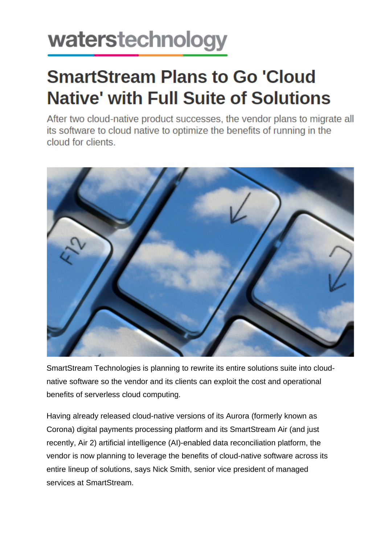## waterstechnology

## **SmartStream Plans to Go 'Cloud Native' with Full Suite of Solutions**

After two cloud-native product successes, the vendor plans to migrate all its software to cloud native to optimize the benefits of running in the cloud for clients.



SmartStream Technologies is planning to rewrite its entire solutions suite into cloudnative software so the vendor and its clients can exploit the cost and operational benefits of serverless cloud computing.

Having already released cloud-native versions of its Aurora (formerly known as Corona) digital payments processing platform and its SmartStream Air (and just recently, Air 2) artificial intelligence (AI)-enabled data reconciliation platform, the vendor is now planning to leverage the benefits of cloud-native software across its entire lineup of solutions, says Nick Smith, senior vice president of managed services at SmartStream.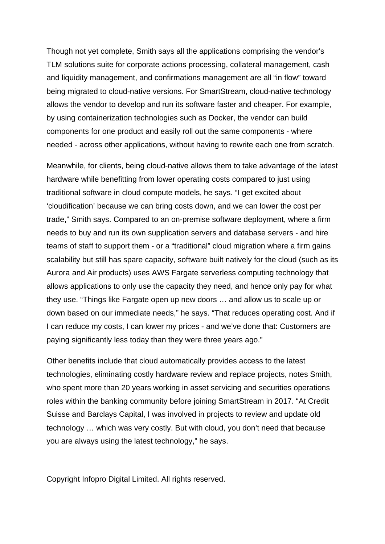Though not yet complete, Smith says all the applications comprising the vendor's TLM solutions suite for corporate actions processing, collateral management, cash and liquidity management, and confirmations management are all "in flow" toward being migrated to cloud-native versions. For SmartStream, cloud-native technology allows the vendor to develop and run its software faster and cheaper. For example, by using containerization technologies such as Docker, the vendor can build components for one product and easily roll out the same components - where needed - across other applications, without having to rewrite each one from scratch.

Meanwhile, for clients, being cloud-native allows them to take advantage of the latest hardware while benefitting from lower operating costs compared to just using traditional software in cloud compute models, he says. "I get excited about 'cloudification' because we can bring costs down, and we can lower the cost per trade," Smith says. Compared to an on-premise software deployment, where a firm needs to buy and run its own supplication servers and database servers - and hire teams of staff to support them - or a "traditional" cloud migration where a firm gains scalability but still has spare capacity, software built natively for the cloud (such as its Aurora and Air products) uses AWS Fargate serverless computing technology that allows applications to only use the capacity they need, and hence only pay for what they use. "Things like Fargate open up new doors … and allow us to scale up or down based on our immediate needs," he says. "That reduces operating cost. And if I can reduce my costs, I can lower my prices - and we've done that: Customers are paying significantly less today than they were three years ago."

Other benefits include that cloud automatically provides access to the latest technologies, eliminating costly hardware review and replace projects, notes Smith, who spent more than 20 years working in asset servicing and securities operations roles within the banking community before joining SmartStream in 2017. "At Credit Suisse and Barclays Capital, I was involved in projects to review and update old technology … which was very costly. But with cloud, you don't need that because you are always using the latest technology," he says.

Copyright Infopro Digital Limited. All rights reserved.